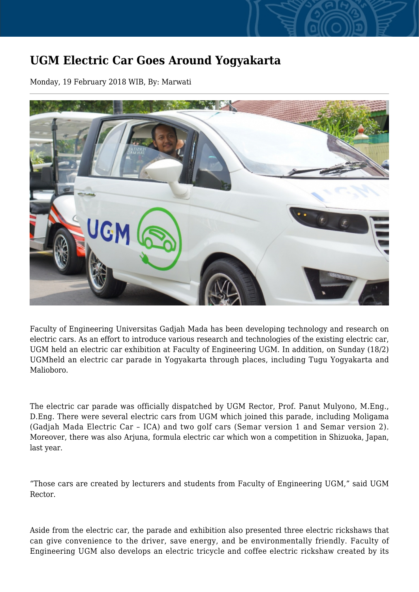## **UGM Electric Car Goes Around Yogyakarta**

Monday, 19 February 2018 WIB, By: Marwati



Faculty of Engineering Universitas Gadjah Mada has been developing technology and research on electric cars. As an effort to introduce various research and technologies of the existing electric car, UGM held an electric car exhibition at Faculty of Engineering UGM. In addition, on Sunday (18/2) UGMheld an electric car parade in Yogyakarta through places, including Tugu Yogyakarta and Malioboro.

The electric car parade was officially dispatched by UGM Rector, Prof. Panut Mulyono, M.Eng., D.Eng. There were several electric cars from UGM which joined this parade, including Moligama (Gadjah Mada Electric Car – ICA) and two golf cars (Semar version 1 and Semar version 2). Moreover, there was also Arjuna, formula electric car which won a competition in Shizuoka, Japan, last year.

"Those cars are created by lecturers and students from Faculty of Engineering UGM," said UGM Rector.

Aside from the electric car, the parade and exhibition also presented three electric rickshaws that can give convenience to the driver, save energy, and be environmentally friendly. Faculty of Engineering UGM also develops an electric tricycle and coffee electric rickshaw created by its